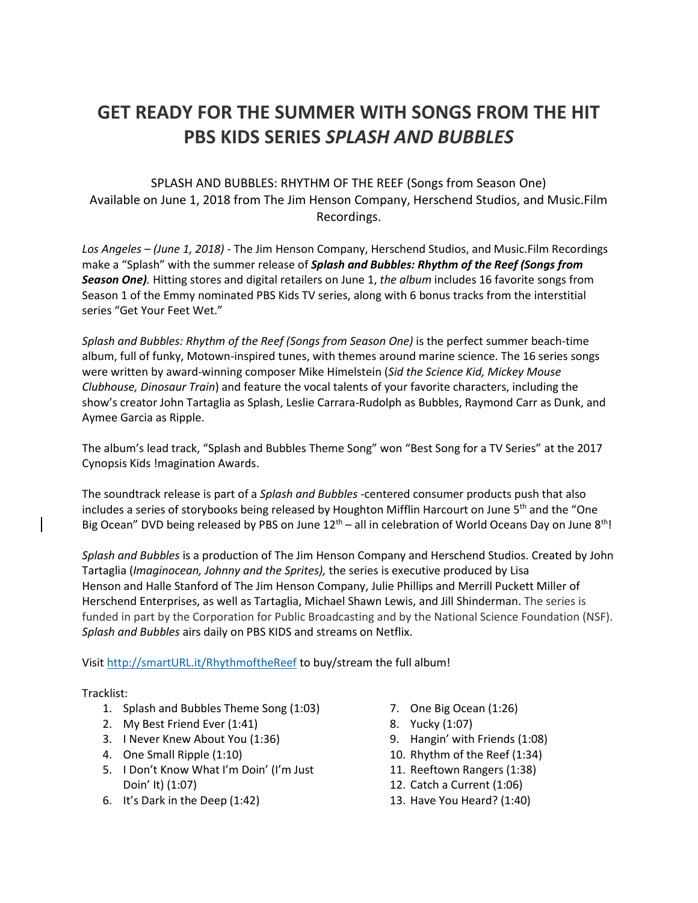# **GET READY FOR THE SUMMER WITH SONGS FROM THE HIT PBS KIDS SERIES** *SPLASH AND BUBBLES*

## SPLASH AND BUBBLES: RHYTHM OF THE REEF (Songs from Season One) Available on June 1, 2018 from The Jim Henson Company, Herschend Studios, and Music.Film Recordings.

*Los Angeles – (June 1, 2018) -* The Jim Henson Company, Herschend Studios, and Music.Film Recordings make a "Splash" with the summer release of *Splash and Bubbles: Rhythm of the Reef (Songs from Season One).* Hitting stores and digital retailers on June 1, *the album* includes 16 favorite songs from Season 1 of the Emmy nominated PBS Kids TV series, along with 6 bonus tracks from the interstitial series "Get Your Feet Wet."

*Splash and Bubbles: Rhythm of the Reef (Songs from Season One)* is the perfect summer beach-time album, full of funky, Motown-inspired tunes, with themes around marine science. The 16 series songs were written by award-winning composer Mike Himelstein (*Sid the Science Kid, Mickey Mouse Clubhouse, Dinosaur Train*) and feature the vocal talents of your favorite characters, including the show's creator John Tartaglia as Splash, Leslie Carrara-Rudolph as Bubbles, Raymond Carr as Dunk, and Aymee Garcia as Ripple.

The album's lead track, "Splash and Bubbles Theme Song" won "Best Song for a TV Series" at the 2017 Cynopsis Kids !magination Awards.

The soundtrack release is part of a *Splash and Bubbles* -centered consumer products push that also includes a series of storybooks being released by Houghton Mifflin Harcourt on June 5<sup>th</sup> and the "One Big Ocean" DVD being released by PBS on June  $12<sup>th</sup>$  – all in celebration of World Oceans Day on June  $8<sup>th</sup>!$ 

*Splash and Bubbles* is a production of The Jim Henson Company and Herschend Studios. Created by John Tartaglia (*Imaginocean, Johnny and the Sprites),* the series is executive produced by Lisa Henson and Halle Stanford of The Jim Henson Company, Julie Phillips and Merrill Puckett Miller of Herschend Enterprises, as well as Tartaglia, Michael Shawn Lewis, and Jill Shinderman. The series is funded in part by the Corporation for Public Broadcasting and by the National Science Foundation (NSF). *Splash and Bubbles* airs daily on PBS KIDS and streams on Netflix.

Visit [http://smartURL.it/RhythmoftheReef](http://smarturl.it/RhythmoftheReef) to buy/stream the full album!

Tracklist:

- 1. Splash and Bubbles Theme Song (1:03)
- 2. My Best Friend Ever (1:41)
- 3. I Never Knew About You (1:36)
- 4. One Small Ripple (1:10)
- 5. I Don't Know What I'm Doin' (I'm Just Doin' It) (1:07)
- 6. It's Dark in the Deep (1:42)
- 7. One Big Ocean (1:26)
- 8. Yucky (1:07)
- 9. Hangin' with Friends (1:08)
- 10. Rhythm of the Reef (1:34)
- 11. Reeftown Rangers (1:38)
- 12. Catch a Current (1:06)
- 13. Have You Heard? (1:40)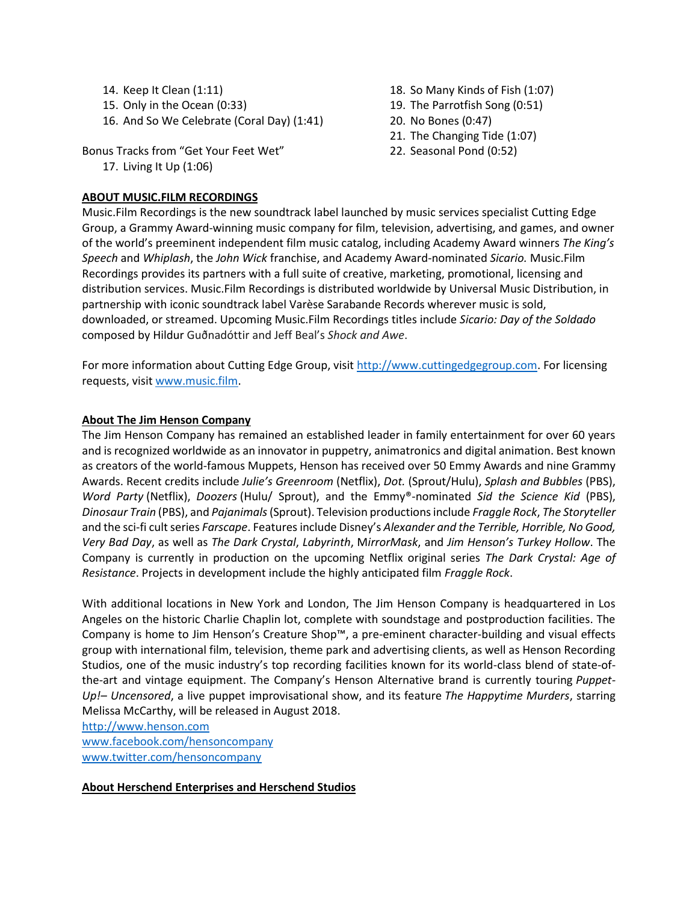- 14. Keep It Clean (1:11)
- 15. Only in the Ocean (0:33)
- 16. And So We Celebrate (Coral Day) (1:41)

Bonus Tracks from "Get Your Feet Wet"

17. Living It Up (1:06)

- 18. So Many Kinds of Fish (1:07)
- 19. The Parrotfish Song (0:51)
- 20. No Bones (0:47)
- 21. The Changing Tide (1:07)
- 22. Seasonal Pond (0:52)

#### **ABOUT MUSIC.FILM RECORDINGS**

Music.Film Recordings is the new soundtrack label launched by music services specialist Cutting Edge Group, a Grammy Award-winning music company for film, television, advertising, and games, and owner of the world's preeminent independent film music catalog, including Academy Award winners *The King's Speech* and *Whiplash*, the *John Wick* franchise, and Academy Award-nominated *Sicario.* Music.Film Recordings provides its partners with a full suite of creative, marketing, promotional, licensing and distribution services. Music.Film Recordings is distributed worldwide by Universal Music Distribution, in partnership with iconic soundtrack label Varèse Sarabande Records wherever music is sold, downloaded, or streamed. Upcoming Music.Film Recordings titles include *Sicario: Day of the Soldado* composed by Hildur Guðnadóttir and Jeff Beal's *Shock and Awe*.

For more information about Cutting Edge Group, visit [http://www.cuttingedgegroup.com.](http://www.cuttingedgegroup.com/) For licensing requests, visi[t www.music.film.](http://www.music.film/)

#### **About The Jim Henson Company**

The Jim Henson Company has remained an established leader in family entertainment for over 60 years and is recognized worldwide as an innovator in puppetry, animatronics and digital animation. Best known as creators of the world-famous Muppets, Henson has received over 50 Emmy Awards and nine Grammy Awards. Recent credits include *Julie's Greenroom* (Netflix), *Dot.* (Sprout/Hulu), *Splash and Bubbles* (PBS), *Word Party* (Netflix), *Doozers* (Hulu/ Sprout), and the Emmy®-nominated *Sid the Science Kid* (PBS), *Dinosaur Train* (PBS), and *Pajanimals*(Sprout). Television productions include *Fraggle Rock*, *The Storyteller* and the sci-fi cult series *Farscape*. Features include Disney's *Alexander and the Terrible, Horrible, No Good, Very Bad Day*, as well as *The Dark Crystal*, *Labyrinth*, M*irrorMask*, and *Jim Henson's Turkey Hollow*. The Company is currently in production on the upcoming Netflix original series *The Dark Crystal: Age of Resistance*. Projects in development include the highly anticipated film *Fraggle Rock*.

With additional locations in New York and London, The Jim Henson Company is headquartered in Los Angeles on the historic Charlie Chaplin lot, complete with soundstage and postproduction facilities. The Company is home to Jim Henson's Creature Shop™, a pre-eminent character-building and visual effects group with international film, television, theme park and advertising clients, as well as Henson Recording Studios, one of the music industry's top recording facilities known for its world-class blend of state-ofthe-art and vintage equipment. The Company's Henson Alternative brand is currently touring *Puppet-Up!– Uncensored*, a live puppet improvisational show, and its feature *The Happytime Murders*, starring Melissa McCarthy, will be released in August 2018.

[http://www.henson.com](http://www.henson.com/) [www.facebook.com/hensoncompany](http://www.facebook.com/hensoncompany) [www.twitter.com/hensoncompany](http://www.twitter.com/hensoncompany)

### **About Herschend Enterprises and Herschend Studios**